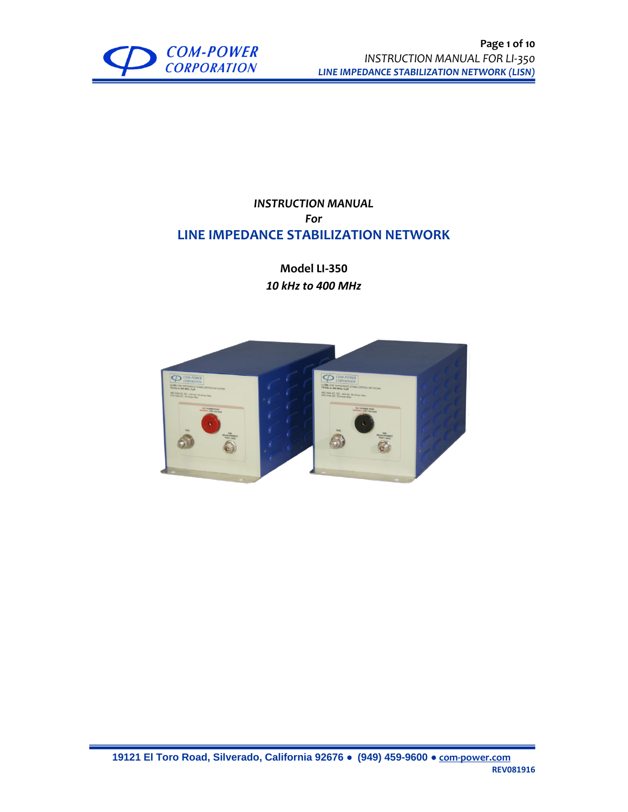

## *INSTRUCTION MANUAL For* **LINE IMPEDANCE STABILIZATION NETWORK**

**Model LI-350** *10 kHz to 400 MHz*

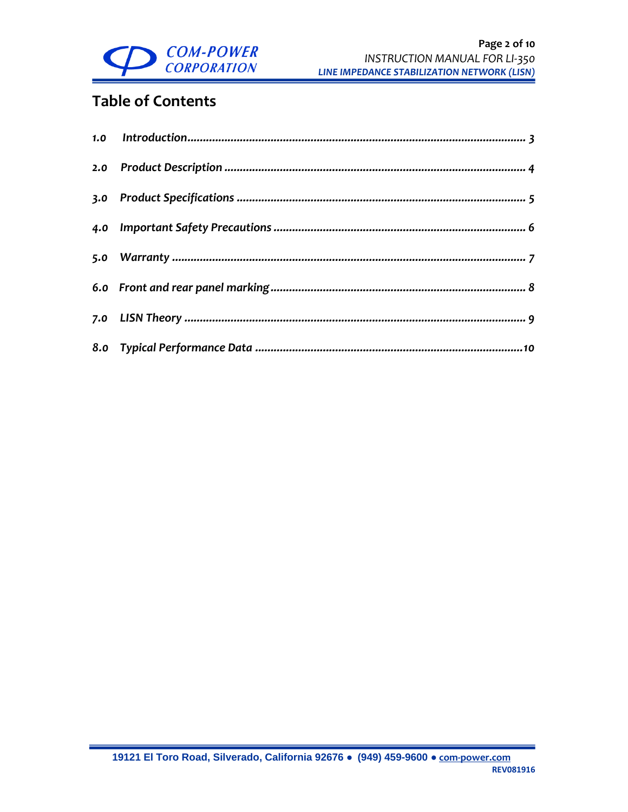

# **Table of Contents**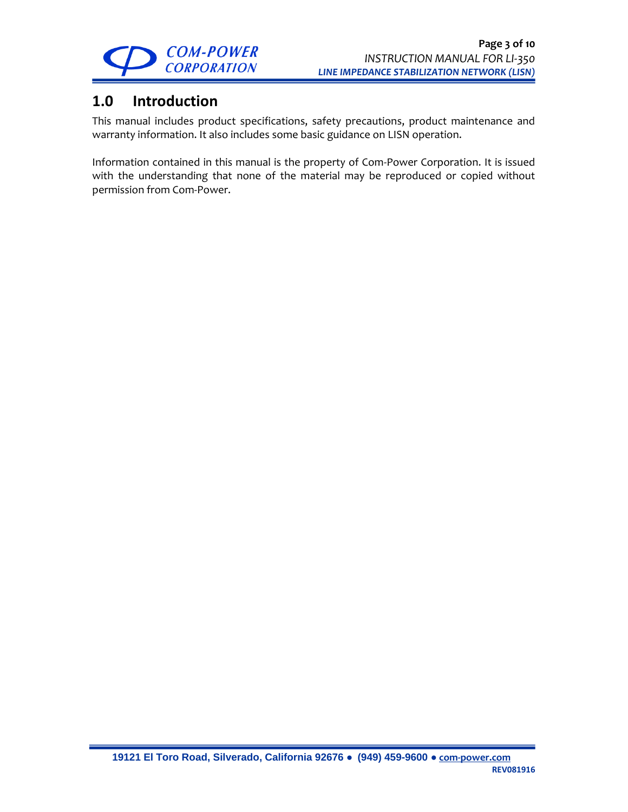

## <span id="page-2-0"></span>**1.0 Introduction**

This manual includes product specifications, safety precautions, product maintenance and warranty information. It also includes some basic guidance on LISN operation.

Information contained in this manual is the property of Com-Power Corporation. It is issued with the understanding that none of the material may be reproduced or copied without permission from Com-Power.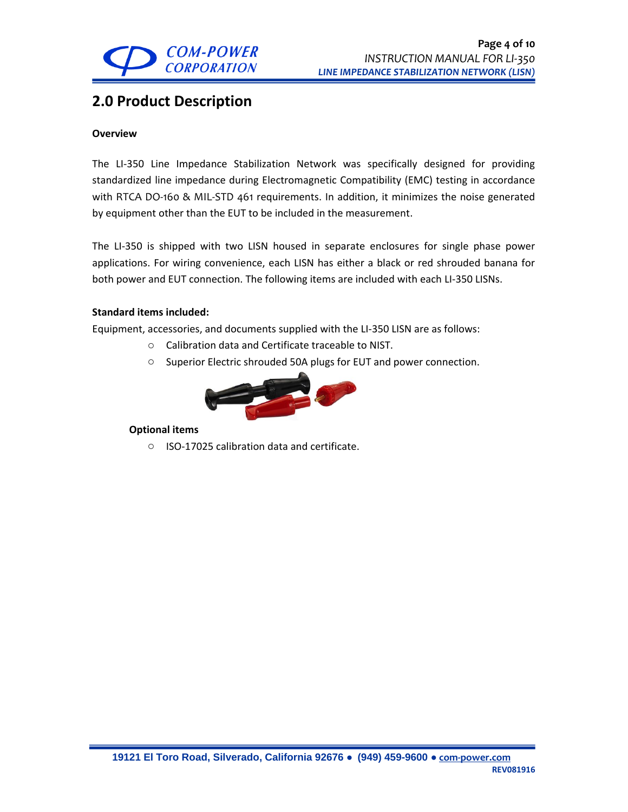

## <span id="page-3-0"></span>**2.0 Product Description**

#### **Overview**

The LI-350 Line Impedance Stabilization Network was specifically designed for providing standardized line impedance during Electromagnetic Compatibility (EMC) testing in accordance with RTCA DO-160 & MIL-STD 461 requirements. In addition, it minimizes the noise generated by equipment other than the EUT to be included in the measurement.

The LI-350 is shipped with two LISN housed in separate enclosures for single phase power applications. For wiring convenience, each LISN has either a black or red shrouded banana for both power and EUT connection. The following items are included with each LI-350 LISNs.

### **Standard items included:**

Equipment, accessories, and documents supplied with the LI-350 LISN are as follows:

- o Calibration data and Certificate traceable to NIST.
- o Superior Electric shrouded 50A plugs for EUT and power connection.



#### **Optional items**

o ISO-17025 calibration data and certificate.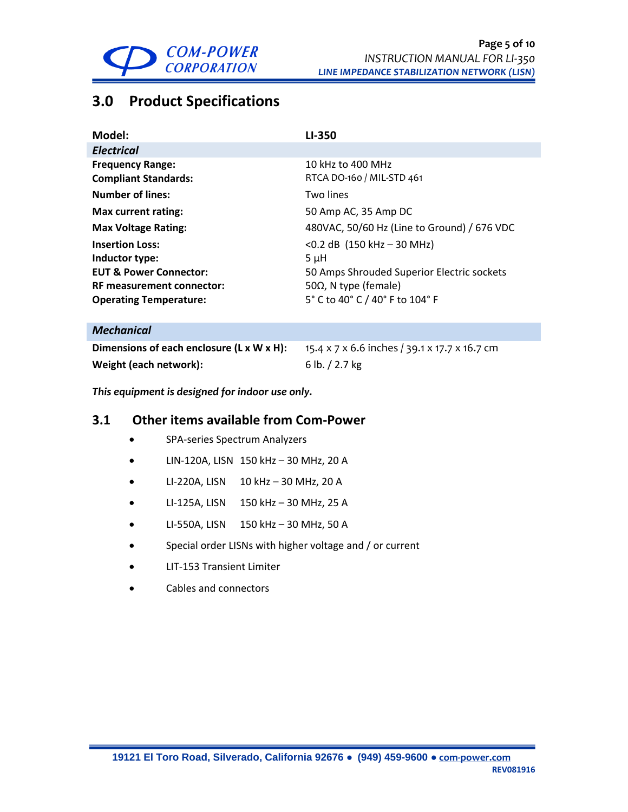

# <span id="page-4-0"></span>**3.0 Product Specifications**

| Model:                            | LI-350                                      |
|-----------------------------------|---------------------------------------------|
| <b>Electrical</b>                 |                                             |
| <b>Frequency Range:</b>           | 10 kHz to 400 MHz                           |
| <b>Compliant Standards:</b>       | RTCA DO-160 / MIL-STD 461                   |
| <b>Number of lines:</b>           | Two lines                                   |
| Max current rating:               | 50 Amp AC, 35 Amp DC                        |
| <b>Max Voltage Rating:</b>        | 480VAC, 50/60 Hz (Line to Ground) / 676 VDC |
| <b>Insertion Loss:</b>            | $<$ 0.2 dB (150 kHz – 30 MHz)               |
| Inductor type:                    | $5 \mu H$                                   |
| <b>EUT &amp; Power Connector:</b> | 50 Amps Shrouded Superior Electric sockets  |
| <b>RF measurement connector:</b>  | 50Ω, N type (female)                        |
| <b>Operating Temperature:</b>     | 5° C to 40° C / 40° F to 104° F             |
| <b>Mechanical</b>                 |                                             |

| Dimensions of each enclosure (L x W x H): | 15.4 x 7 x 6.6 inches / 39.1 x 17.7 x 16.7 cm |
|-------------------------------------------|-----------------------------------------------|
| Weight (each network):                    | 6 lb. $/$ 2.7 kg                              |

*This equipment is designed for indoor use only.*

## **3.1 Other items available from Com-Power**

- SPA-series Spectrum Analyzers
- LIN-120A, LISN 150 kHz 30 MHz, 20 A
- LI-220A, LISN 10 kHz 30 MHz, 20 A
- LI-125A, LISN 150 kHz 30 MHz, 25 A
- LI-550A, LISN 150 kHz 30 MHz, 50 A
- Special order LISNs with higher voltage and / or current
- LIT-153 Transient Limiter
- Cables and connectors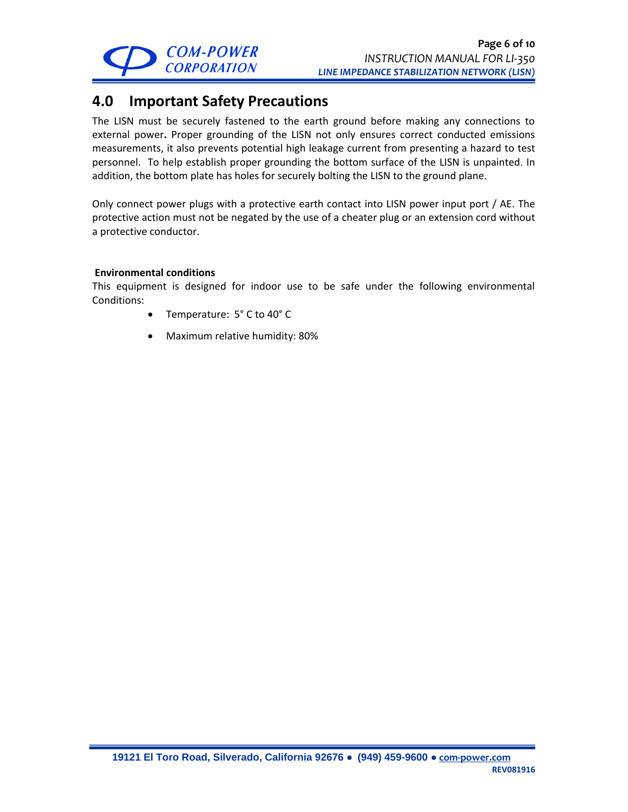

## <span id="page-5-0"></span>**4.0 Important Safety Precautions**

The LISN must be securely fastened to the earth ground before making any connections to external power**.** Proper grounding of the LISN not only ensures correct conducted emissions measurements, it also prevents potential high leakage current from presenting a hazard to test personnel. To help establish proper grounding the bottom surface of the LISN is unpainted. In addition, the bottom plate has holes for securely bolting the LISN to the ground plane.

Only connect power plugs with a protective earth contact into LISN power input port / AE. The protective action must not be negated by the use of a cheater plug or an extension cord without a protective conductor.

### **Environmental conditions**

This equipment is designed for indoor use to be safe under the following environmental Conditions:

- Temperature: 5° C to 40° C
- Maximum relative humidity: 80%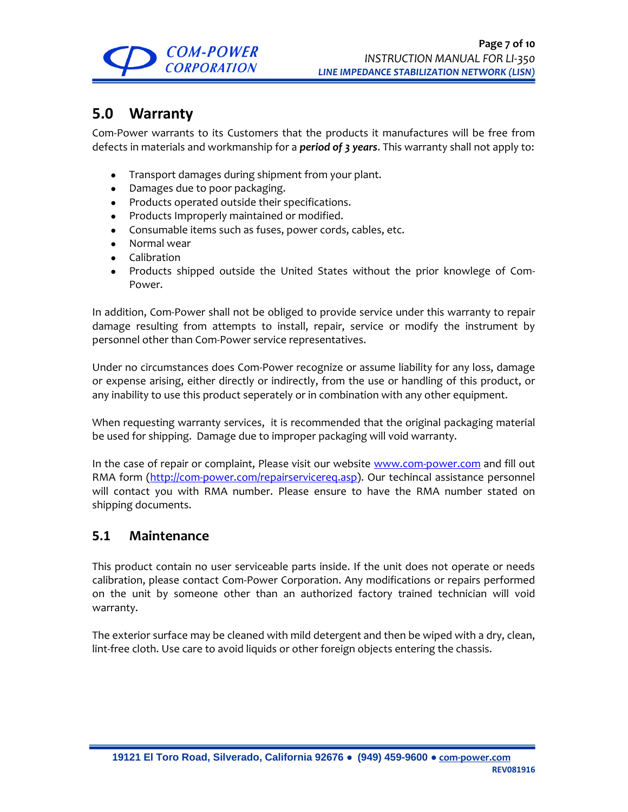

## <span id="page-6-0"></span>**5.0 Warranty**

Com-Power warrants to its Customers that the products it manufactures will be free from defects in materials and workmanship for a *period of 3 years*. This warranty shall not apply to:

- Transport damages during shipment from your plant.
- Damages due to poor packaging.
- Products operated outside their specifications.
- Products Improperly maintained or modified.
- Consumable items such as fuses, power cords, cables, etc.
- Normal wear
- Calibration
- Products shipped outside the United States without the prior knowlege of Com-Power.

In addition, Com-Power shall not be obliged to provide service under this warranty to repair damage resulting from attempts to install, repair, service or modify the instrument by personnel other than Com-Power service representatives.

Under no circumstances does Com-Power recognize or assume liability for any loss, damage or expense arising, either directly or indirectly, from the use or handling of this product, or any inability to use this product seperately or in combination with any other equipment.

When requesting warranty services, it is recommended that the original packaging material be used for shipping. Damage due to improper packaging will void warranty.

In the case of repair or complaint, Please visit our website [www.com-power.com](http://www.com-power.com/) and fill out RMA form [\(http://com-power.com/repairservicereq.asp\)](http://com-power.com/repairservicereq.asp). Our techincal assistance personnel will contact you with RMA number. Please ensure to have the RMA number stated on shipping documents.

## **5.1 Maintenance**

This product contain no user serviceable parts inside. If the unit does not operate or needs calibration, please contact Com-Power Corporation. Any modifications or repairs performed on the unit by someone other than an authorized factory trained technician will void warranty.

The exterior surface may be cleaned with mild detergent and then be wiped with a dry, clean, lint-free cloth. Use care to avoid liquids or other foreign objects entering the chassis.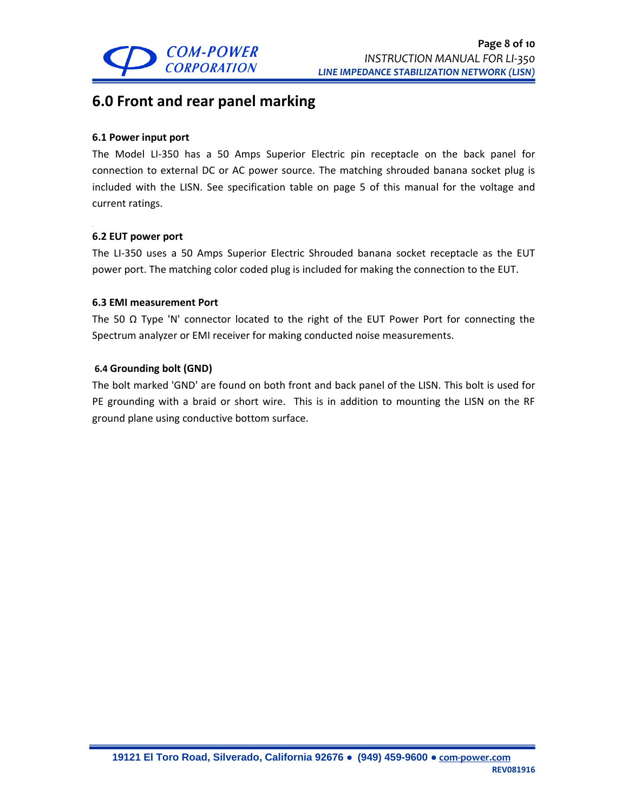

## <span id="page-7-0"></span>**6.0 Front and rear panel marking**

### **6.1 Power input port**

The Model LI-350 has a 50 Amps Superior Electric pin receptacle on the back panel for connection to external DC or AC power source. The matching shrouded banana socket plug is included with the LISN. See specification table on page 5 of this manual for the voltage and current ratings.

### **6.2 EUT power port**

The LI-350 uses a 50 Amps Superior Electric Shrouded banana socket receptacle as the EUT power port. The matching color coded plug is included for making the connection to the EUT.

### **6.3 EMI measurement Port**

The 50  $\Omega$  Type 'N' connector located to the right of the EUT Power Port for connecting the Spectrum analyzer or EMI receiver for making conducted noise measurements.

### **6.4 Grounding bolt (GND)**

The bolt marked 'GND' are found on both front and back panel of the LISN. This bolt is used for PE grounding with a braid or short wire. This is in addition to mounting the LISN on the RF ground plane using conductive bottom surface.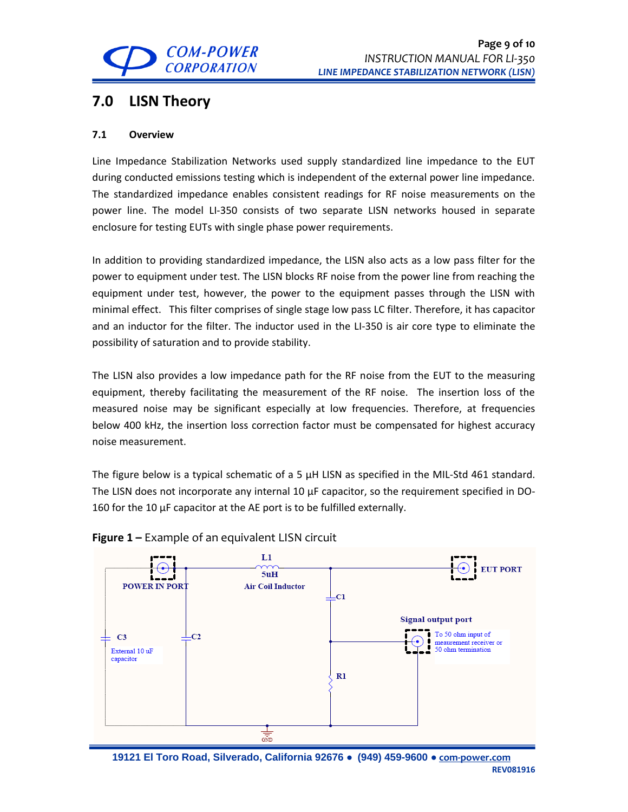

## <span id="page-8-0"></span>**7.0 LISN Theory**

### **7.1 Overview**

Line Impedance Stabilization Networks used supply standardized line impedance to the EUT during conducted emissions testing which is independent of the external power line impedance. The standardized impedance enables consistent readings for RF noise measurements on the power line. The model LI-350 consists of two separate LISN networks housed in separate enclosure for testing EUTs with single phase power requirements.

In addition to providing standardized impedance, the LISN also acts as a low pass filter for the power to equipment under test. The LISN blocks RF noise from the power line from reaching the equipment under test, however, the power to the equipment passes through the LISN with minimal effect. This filter comprises of single stage low pass LC filter. Therefore, it has capacitor and an inductor for the filter. The inductor used in the LI-350 is air core type to eliminate the possibility of saturation and to provide stability.

The LISN also provides a low impedance path for the RF noise from the EUT to the measuring equipment, thereby facilitating the measurement of the RF noise. The insertion loss of the measured noise may be significant especially at low frequencies. Therefore, at frequencies below 400 kHz, the insertion loss correction factor must be compensated for highest accuracy noise measurement.

The figure below is a typical schematic of a 5  $\mu$ H LISN as specified in the MIL-Std 461 standard. The LISN does not incorporate any internal 10  $\mu$ F capacitor, so the requirement specified in DO-160 for the 10 µF capacitor at the AE port is to be fulfilled externally.



## **Figure 1 –** Example of an equivalent LISN circuit